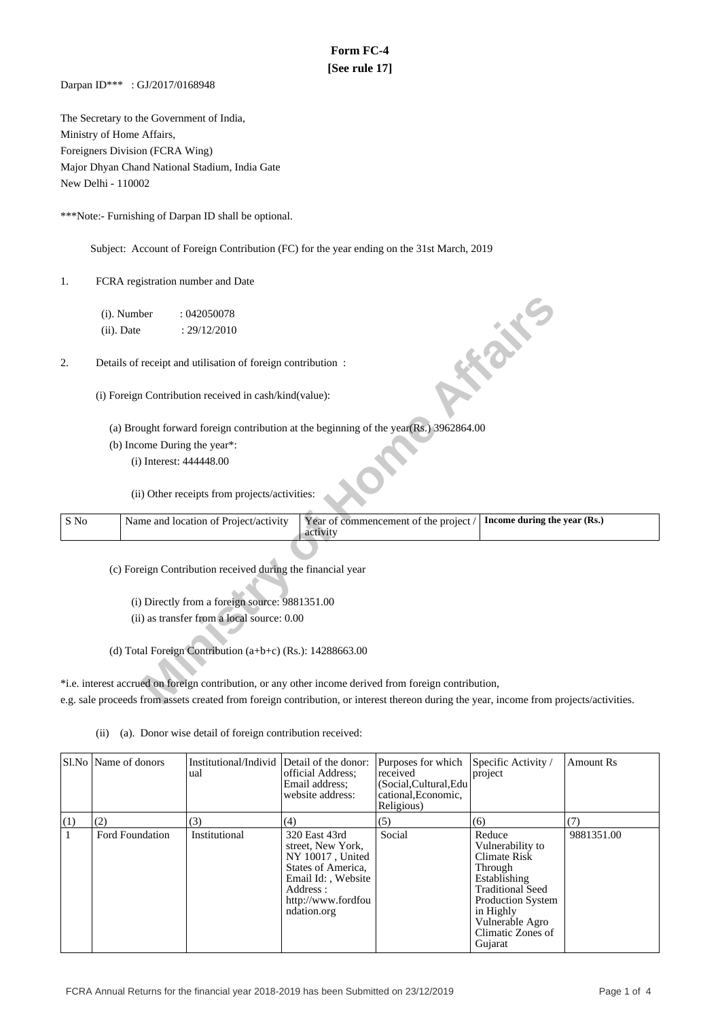# **Form FC-4 [See rule 17]**

Darpan ID\*\*\* : GJ/2017/0168948

The Secretary to the Government of India, Ministry of Home Affairs, Foreigners Division (FCRA Wing) Major Dhyan Chand National Stadium, India Gate New Delhi - 110002

\*\*\*Note:- Furnishing of Darpan ID shall be optional.

Subject: Account of Foreign Contribution (FC) for the year ending on the 31st March, 2019

1. FCRA registration number and Date

- (a) Brought forward foreign contribution at the beginning of the year(Rs.) 3962864.00
- (b) Income During the year\*:

|      | (i). Number   | :042050078                                                  |                                                                                                                                         |                              |
|------|---------------|-------------------------------------------------------------|-----------------------------------------------------------------------------------------------------------------------------------------|------------------------------|
|      | $(ii)$ . Date | : 29/12/2010                                                |                                                                                                                                         |                              |
| 2.   |               | Details of receipt and utilisation of foreign contribution: |                                                                                                                                         | <b>FORE</b>                  |
|      |               | (i) Foreign Contribution received in cash/kind(value):      |                                                                                                                                         |                              |
|      |               |                                                             | (a) Brought forward foreign contribution at the beginning of the year(Rs.) 3962864.00                                                   |                              |
|      |               | (b) Income During the year*:                                |                                                                                                                                         |                              |
|      |               | (i) Interest: 444448.00                                     |                                                                                                                                         |                              |
|      |               | (ii) Other receipts from projects/activities:               |                                                                                                                                         |                              |
|      |               |                                                             |                                                                                                                                         |                              |
| S No |               | Name and location of Project/activity                       | Year of commencement of the project /<br>activity                                                                                       | Income during the year (Rs.) |
|      |               |                                                             |                                                                                                                                         |                              |
|      |               | (c) Foreign Contribution received during the financial year |                                                                                                                                         |                              |
|      |               |                                                             |                                                                                                                                         |                              |
|      |               | (i) Directly from a foreign source: 9881351.00              |                                                                                                                                         |                              |
|      |               | (ii) as transfer from a local source: 0.00                  |                                                                                                                                         |                              |
|      |               |                                                             |                                                                                                                                         |                              |
|      |               | (d) Total Foreign Contribution (a+b+c) (Rs.): $14288663.00$ |                                                                                                                                         |                              |
|      |               |                                                             | *i.e. interest accrued on foreign contribution, or any other income derived from foreign contribution,                                  |                              |
|      |               |                                                             | e.g. sale proceeds from assets created from foreign contribution, or interest thereon during the year, income from projects/activities. |                              |

(ii) (a). Donor wise detail of foreign contribution received:

|     | Sl.No   Name of donors | Institutional/Individ Detail of the donor:<br>ual | official Address:<br>Email address;<br>website address:                                                                                             | Purposes for which<br>received<br>(Social, Cultural, Edu<br>cational, Economic,<br>Religious) | Specific Activity /<br>project                                                                                                                                                               | <b>Amount Rs</b> |
|-----|------------------------|---------------------------------------------------|-----------------------------------------------------------------------------------------------------------------------------------------------------|-----------------------------------------------------------------------------------------------|----------------------------------------------------------------------------------------------------------------------------------------------------------------------------------------------|------------------|
| (1) | (2)                    | (3)                                               | (4)                                                                                                                                                 | (5)                                                                                           | (6)                                                                                                                                                                                          | (7)              |
|     | Ford Foundation        | Institutional                                     | 320 East 43rd<br>street, New York,<br>NY 10017, United<br>States of America,<br>Email Id:, Website<br>Address:<br>http://www.fordfou<br>ndation.org | Social                                                                                        | Reduce<br>Vulnerability to<br>Climate Risk<br>Through<br>Establishing<br><b>Traditional Seed</b><br><b>Production System</b><br>in Highly<br>Vulnerable Agro<br>Climatic Zones of<br>Gujarat | 9881351.00       |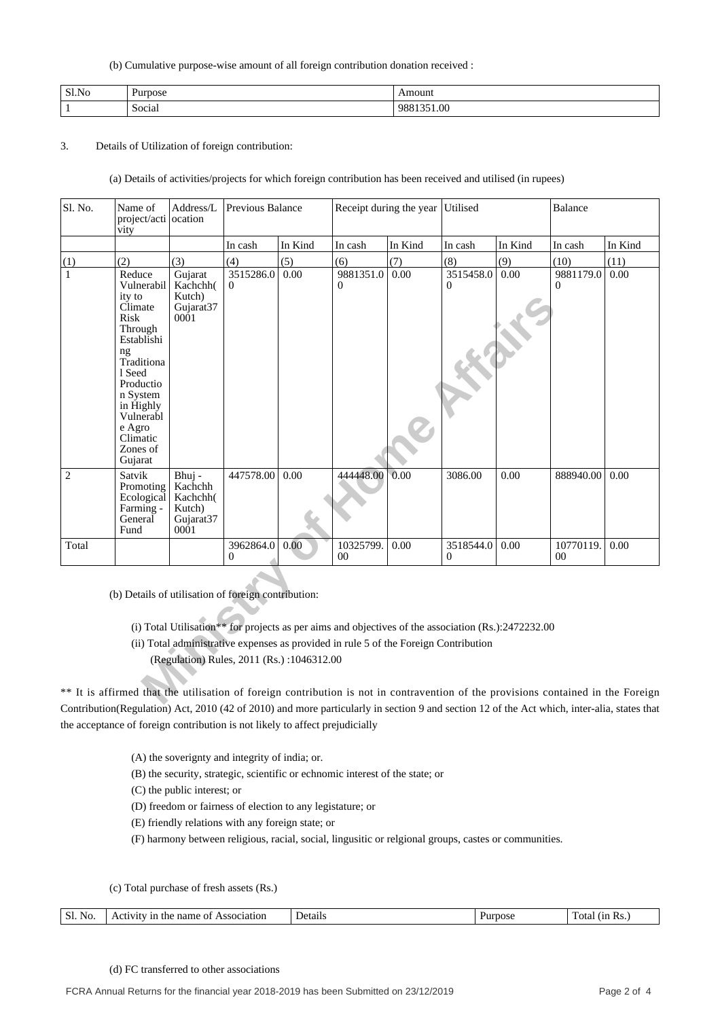(b) Cumulative purpose-wise amount of all foreign contribution donation received :

| Sl.No | urpose | 111            |
|-------|--------|----------------|
|       | Social | $\sim$<br>1.VV |

## 3. Details of Utilization of foreign contribution:

(a) Details of activities/projects for which foreign contribution has been received and utilised (in rupees)

| Sl. No.         | Name of<br>project/acti<br>vity                                                                                                                                                                          | Address/L<br>l ocation                                                   | Previous Balance                          |         |                                                                                      | Receipt during the year Utilised |                                                                                                                                                                                                                                          |         | Balance                     |         |
|-----------------|----------------------------------------------------------------------------------------------------------------------------------------------------------------------------------------------------------|--------------------------------------------------------------------------|-------------------------------------------|---------|--------------------------------------------------------------------------------------|----------------------------------|------------------------------------------------------------------------------------------------------------------------------------------------------------------------------------------------------------------------------------------|---------|-----------------------------|---------|
|                 |                                                                                                                                                                                                          |                                                                          | In cash                                   | In Kind | In cash                                                                              | In Kind                          | In cash                                                                                                                                                                                                                                  | In Kind | In cash                     | In Kind |
|                 | (2)                                                                                                                                                                                                      | (3)                                                                      | (4)                                       | (5)     | (6)                                                                                  | (7)                              | (8)                                                                                                                                                                                                                                      | (9)     | (10)                        | (11)    |
| $\frac{(1)}{1}$ | Reduce<br>Vulnerabil<br>ity to<br>Climate<br>Risk<br>Through<br>Establishi<br>ng<br>Traditiona<br>1 Seed<br>Productio<br>n System<br>in Highly<br>Vulnerabl<br>e Agro<br>Climatic<br>Zones of<br>Gujarat | Gujarat<br>Kachchh(<br>Kutch)<br>Gujarat <sub>37</sub><br>0001           | 3515286.0<br>$\Omega$                     | 0.00    | 9881351.0<br>0                                                                       | 0.00                             | 3515458.0<br>$\Omega$                                                                                                                                                                                                                    | 0.00    | 9881179.0<br>0              | 0.00    |
| $\overline{2}$  | Satvik<br>Promoting<br>Ecological<br>Farming -<br>General<br>Fund                                                                                                                                        | Bhuj -<br>Kachchh<br>Kachchh(<br>Kutch)<br>Gujarat37<br>000 <sub>1</sub> | 447578.00                                 | 0.00    | 444448.00                                                                            | 0.00                             | 3086.00                                                                                                                                                                                                                                  | 0.00    | 888940.00                   | 0.00    |
| Total           |                                                                                                                                                                                                          |                                                                          | 3962864.0<br>$\Omega$                     | 0.00    | 10325799.<br>0 <sup>0</sup>                                                          | 0.00                             | 3518544.0<br>$\Omega$                                                                                                                                                                                                                    | 0.00    | 10770119.<br>0 <sup>0</sup> | 0.00    |
|                 | (b) Details of utilisation of foreign contribution:                                                                                                                                                      |                                                                          | (Regulation) Rules, 2011 (Rs.):1046312.00 |         | (ii) Total administrative expenses as provided in rule 5 of the Foreign Contribution |                                  | (i) Total Utilisation** for projects as per aims and objectives of the association (Rs.):2472232.00<br>** It is affirmed that the utilisation of foreign contribution is not in contravention of the provisions contained in the Foreign |         |                             |         |
|                 |                                                                                                                                                                                                          |                                                                          |                                           |         |                                                                                      |                                  |                                                                                                                                                                                                                                          |         |                             |         |

\*\* It is affirmed that the utilisation of foreign contribution is not in contravention of the provisions contained in the Foreign Contribution(Regulation) Act, 2010 (42 of 2010) and more particularly in section 9 and section 12 of the Act which, inter-alia, states that the acceptance of foreign contribution is not likely to affect prejudicially

(A) the soverignty and integrity of india; or.

(B) the security, strategic, scientific or echnomic interest of the state; or

(C) the public interest; or

(D) freedom or fairness of election to any legistature; or

(E) friendly relations with any foreign state; or

(F) harmony between religious, racial, social, lingusitic or relgional groups, castes or communities.

(c) Total purchase of fresh assets (Rs.)

|  | No.<br>ЭI | riation<br>me<br>$^{\circ}$<br>ш<br>наг<br>. | ,,<br>ал<br>. | 7St | . |
|--|-----------|----------------------------------------------|---------------|-----|---|
|--|-----------|----------------------------------------------|---------------|-----|---|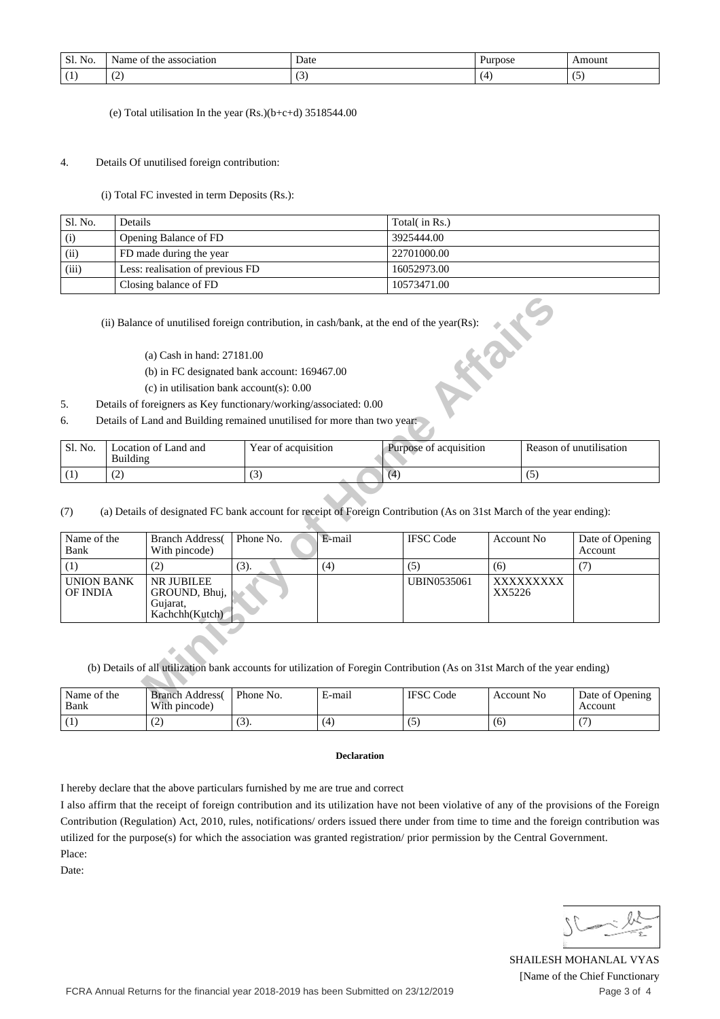| No<br>$\sim$ 1<br>SI. | - -<br>association<br>Name<br>the<br>. OT | Date   | Purpose | Amount |
|-----------------------|-------------------------------------------|--------|---------|--------|
| . .                   | $\sim$                                    | $\sim$ |         | . .    |
| . .                   | $\sim$                                    | ت      |         | w      |

(e) Total utilisation In the year (Rs.)(b+c+d) 3518544.00

#### 4. Details Of unutilised foreign contribution:

(i) Total FC invested in term Deposits (Rs.):

| Sl. No. | <b>Details</b>                   | Total( in Rs.) |
|---------|----------------------------------|----------------|
| (i)     | Opening Balance of FD            | 3925444.00     |
| (ii)    | FD made during the year          | 22701000.00    |
| (iii)   | Less: realisation of previous FD | 16052973.00    |
|         | Closing balance of FD            | 10573471.00    |

- (a) Cash in hand: 27181.00
- (b) in FC designated bank account: 169467.00
- (c) in utilisation bank account(s): 0.00
- 5. Details of foreigners as Key functionary/working/associated: 0.00
- 6. Details of Land and Building remained unutilised for more than two year:

| ' Sl. No. | Location of Land and<br>Building | Year of acquisition | Purpose of acquisition | Reason of unutilisation |
|-----------|----------------------------------|---------------------|------------------------|-------------------------|
|           | . <u>. .</u>                     | $\sim$              |                        |                         |

|                                                                                                    |                   |                                                                          |                     |                    | (ii) Balance of unutilised foreign contribution, in cash/bank, at the end of the year(Rs):                                               | <b>HEAT</b>       |  |                            |
|----------------------------------------------------------------------------------------------------|-------------------|--------------------------------------------------------------------------|---------------------|--------------------|------------------------------------------------------------------------------------------------------------------------------------------|-------------------|--|----------------------------|
|                                                                                                    |                   | (a) Cash in hand: 27181.00                                               |                     |                    |                                                                                                                                          |                   |  |                            |
|                                                                                                    |                   | (b) in FC designated bank account: 169467.00                             |                     |                    |                                                                                                                                          |                   |  |                            |
|                                                                                                    |                   | $(c)$ in utilisation bank account(s): 0.00                               |                     |                    |                                                                                                                                          |                   |  |                            |
| 5.                                                                                                 |                   | Details of foreigners as Key functionary/working/associated: 0.00        |                     |                    |                                                                                                                                          |                   |  |                            |
| 6.                                                                                                 |                   | Details of Land and Building remained unutilised for more than two year: |                     |                    |                                                                                                                                          |                   |  |                            |
| Sl. No.                                                                                            | <b>Building</b>   | Location of Land and                                                     | Year of acquisition |                    | Purpose of acquisition                                                                                                                   |                   |  | Reason of unutilisation    |
| (1)                                                                                                | (4)<br>(2)<br>(3) |                                                                          |                     |                    | (5)                                                                                                                                      |                   |  |                            |
| (7)<br>Name of the<br>Bank                                                                         |                   | <b>Branch Address</b><br>With pincode)                                   | Phone No.           | E-mail             | (a) Details of designated FC bank account for receipt of Foreign Contribution (As on 31st March of the year ending):<br><b>IFSC Code</b> | <b>Account No</b> |  | Date of Opening<br>Account |
| (1)                                                                                                |                   | (2)                                                                      | (3).                | (4)                | (5)                                                                                                                                      | (6)               |  | (7)                        |
| <b>UNION BANK</b><br>NR JUBILEE<br><b>OF INDIA</b><br>GROUND, Bhuj,<br>Gujarat,<br>Kachchh (Kutch) |                   |                                                                          |                     | <b>UBIN0535061</b> | XXXXXXXXX<br>XX5226                                                                                                                      |                   |  |                            |
|                                                                                                    |                   |                                                                          |                     | E-mail             | (b) Details of all utilization bank accounts for utilization of Foregin Contribution (As on 31st March of the year ending)               | <b>Account No</b> |  |                            |
| Name of the<br>$\blacksquare$                                                                      |                   | <b>Branch Address</b><br>$\mathbf{u}$                                    | Phone No.           |                    | <b>IFSC</b> Code                                                                                                                         |                   |  | Date of Opening            |

| Name of the<br>Bank | <b>Branch Address</b><br>With pincode) | Phone No. | E-mail | <b>IFSC</b><br>' Code | Account No. | Date of Opening<br>Account |
|---------------------|----------------------------------------|-----------|--------|-----------------------|-------------|----------------------------|
|                     | ╰                                      | UJ 1.     | (4)    |                       | 16          |                            |

#### **Declaration**

I hereby declare that the above particulars furnished by me are true and correct

I also affirm that the receipt of foreign contribution and its utilization have not been violative of any of the provisions of the Foreign Contribution (Regulation) Act, 2010, rules, notifications/ orders issued there under from time to time and the foreign contribution was utilized for the purpose(s) for which the association was granted registration/ prior permission by the Central Government. Place:

Date:

SHAILESH MOHANLAL VYAS [Name of the Chief Functionary Page 3 of 4